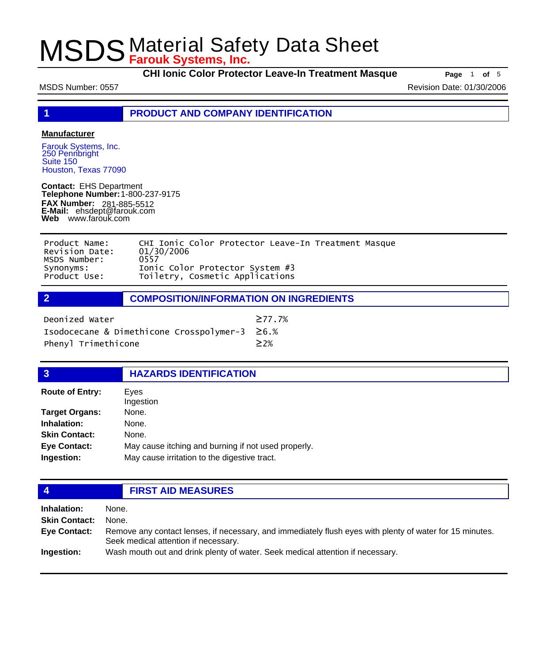**CHI Ionic Color Protector Leave-In Treatment Masque** Page 1 of 5

MSDS Number: 0557 Revision Date: 01/30/2006

**1 PRODUCT AND COMPANY IDENTIFICATION**

### **Manufacturer**

Farouk Systems, Inc. 250 Pennbright Suite 150 Houston, Texas 77090

**Contact:** EHS Department **Telephone Number:** 1-800-237-9175 **FAX Number: FAX Number:** 281-885-5512<br>**E-Mail:** ehsdept@farouk.com **Web** www.farouk.com

| Product Name:  | CHI Ionic Color Protector Leave-In Treatment Masque |
|----------------|-----------------------------------------------------|
| Revision Date: | 01/30/2006                                          |
| MSDS Number:   | 0557                                                |
| Synonyms:      | Ionic Color Protector System #3                     |
| Product Use:   | Toiletry, Cosmetic Applications                     |

## **2 COMPOSITION/INFORMATION ON INGREDIENTS**

| Deonized Water                                | $\geq$ 77.7% |
|-----------------------------------------------|--------------|
| Isodocecane & Dimethicone Crosspolymer-3 ≥6.% |              |
| Phenyl Trimethicone                           | $\geq$ 2%    |

| <b>HAZARDS IDENTIFICATION</b> |
|-------------------------------|
|-------------------------------|

| <b>Route of Entry:</b> | Eves<br>Ingestion                                   |
|------------------------|-----------------------------------------------------|
| <b>Target Organs:</b>  | None.                                               |
| Inhalation:            | None.                                               |
| <b>Skin Contact:</b>   | None.                                               |
| <b>Eye Contact:</b>    | May cause itching and burning if not used properly. |
| Ingestion:             | May cause irritation to the digestive tract.        |

## **4 FIRST AID MEASURES**

| Inhalation:<br><b>Skin Contact:</b> | None.<br>None.                                                                                                                                   |
|-------------------------------------|--------------------------------------------------------------------------------------------------------------------------------------------------|
| Eye Contact:                        | Remove any contact lenses, if necessary, and immediately flush eyes with plenty of water for 15 minutes.<br>Seek medical attention if necessary. |
| Ingestion:                          | Wash mouth out and drink plenty of water. Seek medical attention if necessary.                                                                   |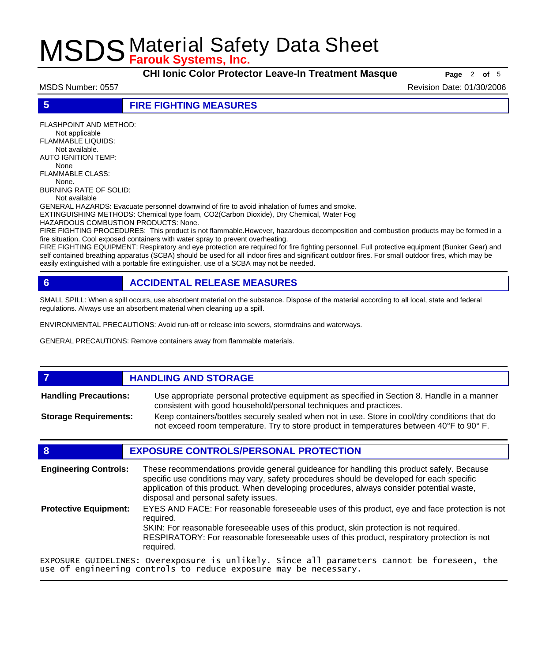**CHI Ionic Color Protector Leave-In Treatment Masque Page** 2 of 5

MSDS Number: 0557 Revision Date: 01/30/2006

## **5 FIRE FIGHTING MEASURES**

FLASHPOINT AND METHOD: Not applicable FLAMMABLE LIQUIDS: Not available. AUTO IGNITION TEMP: None

FLAMMABLE CLASS: None. BURNING RATE OF SOLID:

Not available

GENERAL HAZARDS: Evacuate personnel downwind of fire to avoid inhalation of fumes and smoke.

EXTINGUISHING METHODS: Chemical type foam, CO2(Carbon Dioxide), Dry Chemical, Water Fog

HAZARDOUS COMBUSTION PRODUCTS: None.

FIRE FIGHTING PROCEDURES: This product is not flammable.However, hazardous decomposition and combustion products may be formed in a fire situation. Cool exposed containers with water spray to prevent overheating.

FIRE FIGHTING EQUIPMENT: Respiratory and eye protection are required for fire fighting personnel. Full protective equipment (Bunker Gear) and self contained breathing apparatus (SCBA) should be used for all indoor fires and significant outdoor fires. For small outdoor fires, which may be easily extinguished with a portable fire extinguisher, use of a SCBA may not be needed.

## **6 ACCIDENTAL RELEASE MEASURES**

SMALL SPILL: When a spill occurs, use absorbent material on the substance. Dispose of the material according to all local, state and federal regulations. Always use an absorbent material when cleaning up a spill.

ENVIRONMENTAL PRECAUTIONS: Avoid run-off or release into sewers, stormdrains and waterways.

GENERAL PRECAUTIONS: Remove containers away from flammable materials.

### **7 HANDLING AND STORAGE** Use appropriate personal protective equipment as specified in Section 8. Handle in a manner consistent with good household/personal techniques and practices. **Handling Precautions:** Keep containers/bottles securely sealed when not in use. Store in cool/dry conditions that do not exceed room temperature. Try to store product in temperatures between 40°F to 90° F. **Storage Requirements:**

## **8 EXPOSURE CONTROLS/PERSONAL PROTECTION**

These recommendations provide general guideance for handling this product safely. Because specific use conditions may vary, safety procedures should be developed for each specific application of this product. When developing procedures, always consider potential waste, disposal and personal safety issues. **Engineering Controls:** EYES AND FACE: For reasonable foreseeable uses of this product, eye and face protection is not required. SKIN: For reasonable foreseeable uses of this product, skin protection is not required. RESPIRATORY: For reasonable foreseeable uses of this product, respiratory protection is not required. **Protective Equipment:** EXPOSURE GUIDELINES: Overexposure is unlikely. Since all parameters cannot be foreseen, the use of engineering controls to reduce exposure may be necessary.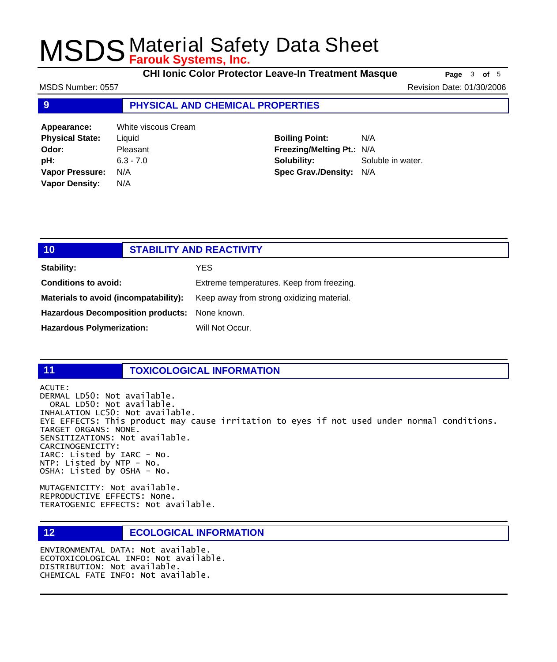**CHI Ionic Color Protector Leave-In Treatment Masque** Page 3 of 5

MSDS Number: 0557 Revision Date: 01/30/2006

## **9 PHYSICAL AND CHEMICAL PROPERTIES**

| Appearance:            | <b>White viscous Cream</b> |
|------------------------|----------------------------|
| <b>Physical State:</b> | Liquid                     |
| Odor:                  | Pleasant                   |
| pH:                    | $6.3 - 7.0$                |
| <b>Vapor Pressure:</b> | N/A                        |
| <b>Vapor Density:</b>  | N/A                        |

**Boiling Point:** N/A **Freezing/Melting Pt.:** N/A **Solubility:** Soluble in water. **Spec Grav./Density:** N/A

| 10 <sub>1</sub>                               | <b>STABILITY AND REACTIVITY</b> |                                           |
|-----------------------------------------------|---------------------------------|-------------------------------------------|
| <b>Stability:</b>                             |                                 | YES.                                      |
| <b>Conditions to avoid:</b>                   |                                 | Extreme temperatures. Keep from freezing. |
| Materials to avoid (incompatability):         |                                 | Keep away from strong oxidizing material. |
| Hazardous Decomposition products: None known. |                                 |                                           |
| <b>Hazardous Polymerization:</b>              |                                 | Will Not Occur.                           |

## **11 TOXICOLOGICAL INFORMATION**

ACUTE: DERMAL LD50: Not available. ORAL LD50: Not available. INHALATION LC50: Not available. EYE EFFECTS: This product may cause irritation to eyes if not used under normal conditions. TARGET ORGANS: NONE. SENSITIZATIONS: Not available. CARCINOGENICITY: IARC: Listed by IARC - No. NTP: Listed by NTP - No. OSHA: Listed by OSHA - No.

MUTAGENICITY: Not available. REPRODUCTIVE EFFECTS: None. TERATOGENIC EFFECTS: Not available.

### **12 ECOLOGICAL INFORMATION**

ENVIRONMENTAL DATA: Not available. ECOTOXICOLOGICAL INFO: Not available. DISTRIBUTION: Not available. CHEMICAL FATE INFO: Not available.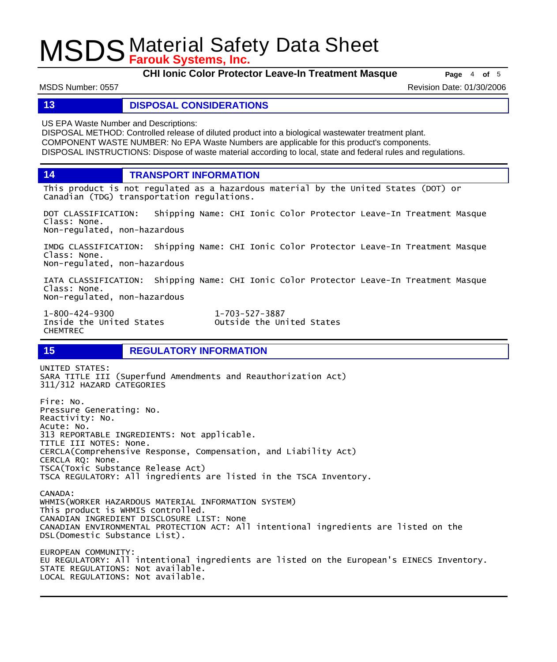**CHI Ionic Color Protector Leave-In Treatment Masque Page** 4 of 5

MSDS Number: 0557 Revision Date: 01/30/2006

### **13 DISPOSAL CONSIDERATIONS**

US EPA Waste Number and Descriptions:

DISPOSAL METHOD: Controlled release of diluted product into a biological wastewater treatment plant. COMPONENT WASTE NUMBER: No EPA Waste Numbers are applicable for this product's components. DISPOSAL INSTRUCTIONS: Dispose of waste material according to local, state and federal rules and regulations.

**14 TRANSPORT INFORMATION**

This product is not regulated as a hazardous material by the United States (DOT) or Canadian (TDG) transportation regulations.

DOT CLASSIFICATION: Shipping Name: CHI Ionic Color Protector Leave-In Treatment Masque Class: None. Non-regulated, non-hazardous

IMDG CLASSIFICATION: Shipping Name: CHI Ionic Color Protector Leave-In Treatment Masque Class: None. Non-regulated, non-hazardous

IATA CLASSIFICATION: Shipping Name: CHI Ionic Color Protector Leave-In Treatment Masque Class: None. Non-regulated, non-hazardous

1-800-424-9300 1-703-527-3887 CHEMTREC

Outside the United States

## **15 REGULATORY INFORMATION**

UNITED STATES: SARA TITLE III (Superfund Amendments and Reauthorization Act) 311/312 HAZARD CATEGORIES Fire: No. Pressure Generating: No. Reactivity: No. Acute: No. 313 REPORTABLE INGREDIENTS: Not applicable. TITLE III NOTES: None. CERCLA(Comprehensive Response, Compensation, and Liability Act) CERCLA RQ: None. TSCA(Toxic Substance Release Act) TSCA REGULATORY: All ingredients are listed in the TSCA Inventory. CANADA: WHMIS(WORKER HAZARDOUS MATERIAL INFORMATION SYSTEM) This product is WHMIS controlled. CANADIAN INGREDIENT DISCLOSURE LIST: None CANADIAN ENVIRONMENTAL PROTECTION ACT: All intentional ingredients are listed on the DSL(Domestic Substance List). EUROPEAN COMMUNITY: EU REGULATORY: All intentional ingredients are listed on the European's EINECS Inventory. STATE REGULATIONS: Not available. LOCAL REGULATIONS: Not available.